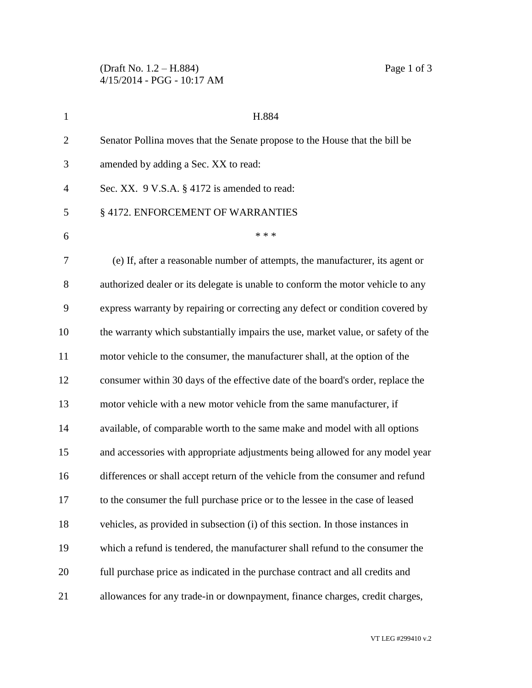(Draft No. 1.2 – H.884) Page 1 of 3 4/15/2014 - PGG - 10:17 AM

| $\mathbf{1}$   | H.884                                                                            |
|----------------|----------------------------------------------------------------------------------|
| $\overline{2}$ | Senator Pollina moves that the Senate propose to the House that the bill be      |
| 3              | amended by adding a Sec. XX to read:                                             |
| 4              | Sec. XX. 9 V.S.A. § 4172 is amended to read:                                     |
| 5              | § 4172. ENFORCEMENT OF WARRANTIES                                                |
| 6              | * * *                                                                            |
| 7              | (e) If, after a reasonable number of attempts, the manufacturer, its agent or    |
| 8              | authorized dealer or its delegate is unable to conform the motor vehicle to any  |
| 9              | express warranty by repairing or correcting any defect or condition covered by   |
| 10             | the warranty which substantially impairs the use, market value, or safety of the |
| 11             | motor vehicle to the consumer, the manufacturer shall, at the option of the      |
| 12             | consumer within 30 days of the effective date of the board's order, replace the  |
| 13             | motor vehicle with a new motor vehicle from the same manufacturer, if            |
| 14             | available, of comparable worth to the same make and model with all options       |
| 15             | and accessories with appropriate adjustments being allowed for any model year    |
| 16             | differences or shall accept return of the vehicle from the consumer and refund   |
| 17             | to the consumer the full purchase price or to the lessee in the case of leased   |
| 18             | vehicles, as provided in subsection (i) of this section. In those instances in   |
| 19             | which a refund is tendered, the manufacturer shall refund to the consumer the    |
| 20             | full purchase price as indicated in the purchase contract and all credits and    |
| 21             | allowances for any trade-in or downpayment, finance charges, credit charges,     |

VT LEG #299410 v.2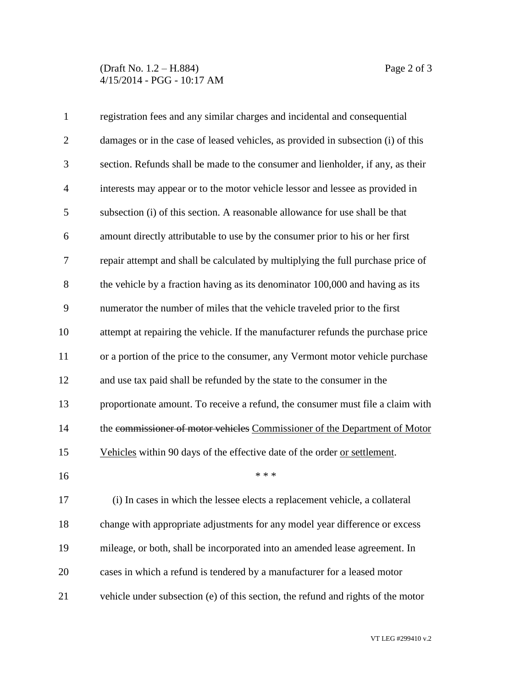(Draft No. 1.2 – H.884) Page 2 of 3 4/15/2014 - PGG - 10:17 AM

| $\mathbf{1}$   | registration fees and any similar charges and incidental and consequential       |
|----------------|----------------------------------------------------------------------------------|
| $\overline{2}$ | damages or in the case of leased vehicles, as provided in subsection (i) of this |
| 3              | section. Refunds shall be made to the consumer and lienholder, if any, as their  |
| $\overline{4}$ | interests may appear or to the motor vehicle lessor and lessee as provided in    |
| 5              | subsection (i) of this section. A reasonable allowance for use shall be that     |
| 6              | amount directly attributable to use by the consumer prior to his or her first    |
| 7              | repair attempt and shall be calculated by multiplying the full purchase price of |
| 8              | the vehicle by a fraction having as its denominator 100,000 and having as its    |
| 9              | numerator the number of miles that the vehicle traveled prior to the first       |
| 10             | attempt at repairing the vehicle. If the manufacturer refunds the purchase price |
| 11             | or a portion of the price to the consumer, any Vermont motor vehicle purchase    |
| 12             | and use tax paid shall be refunded by the state to the consumer in the           |
| 13             | proportionate amount. To receive a refund, the consumer must file a claim with   |
| 14             | the commissioner of motor vehicles Commissioner of the Department of Motor       |
| 15             | Vehicles within 90 days of the effective date of the order or settlement.        |
| 16             | * * *                                                                            |
| 17             | (i) In cases in which the lessee elects a replacement vehicle, a collateral      |
| 18             | change with appropriate adjustments for any model year difference or excess      |
| 19             | mileage, or both, shall be incorporated into an amended lease agreement. In      |
| 20             | cases in which a refund is tendered by a manufacturer for a leased motor         |
| 21             | vehicle under subsection (e) of this section, the refund and rights of the motor |

VT LEG #299410 v.2